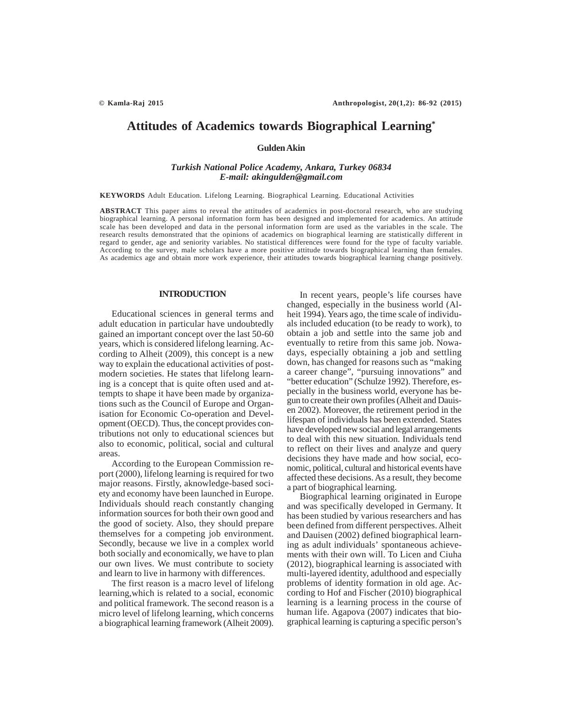# **Attitudes of Academics towards Biographical Learning\***

**Gulden Akin**

*Turkish National Police Academy, Ankara, Turkey 06834 E-mail: akingulden@gmail.com*

**KEYWORDS** Adult Education. Lifelong Learning. Biographical Learning. Educational Activities

**ABSTRACT** This paper aims to reveal the attitudes of academics in post-doctoral research, who are studying biographical learning. A personal information form has been designed and implemented for academics. An attitude scale has been developed and data in the personal information form are used as the variables in the scale. The research results demonstrated that the opinions of academics on biographical learning are statistically different in regard to gender, age and seniority variables. No statistical differences were found for the type of faculty variable. According to the survey, male scholars have a more positive attitude towards biographical learning than females. As academics age and obtain more work experience, their attitudes towards biographical learning change positively.

#### **INTRODUCTION**

Educational sciences in general terms and adult education in particular have undoubtedly gained an important concept over the last 50-60 years, which is considered lifelong learning. According to Alheit (2009), this concept is a new way to explain the educational activities of postmodern societies. He states that lifelong learning is a concept that is quite often used and attempts to shape it have been made by organizations such as the Council of Europe and Organisation for Economic Co-operation and Development (OECD). Thus, the concept provides contributions not only to educational sciences but also to economic, political, social and cultural areas.

According to the European Commission report (2000), lifelong learning is required for two major reasons. Firstly, aknowledge-based society and economy have been launched in Europe. Individuals should reach constantly changing information sources for both their own good and the good of society. Also, they should prepare themselves for a competing job environment. Secondly, because we live in a complex world both socially and economically, we have to plan our own lives. We must contribute to society and learn to live in harmony with differences.

The first reason is a macro level of lifelong learning,which is related to a social, economic and political framework. The second reason is a micro level of lifelong learning, which concerns a biographical learning framework (Alheit 2009).

In recent years, people's life courses have changed, especially in the business world (Alheit 1994). Years ago, the time scale of individuals included education (to be ready to work), to obtain a job and settle into the same job and eventually to retire from this same job. Nowadays, especially obtaining a job and settling down, has changed for reasons such as "making a career change", "pursuing innovations" and "better education" (Schulze 1992). Therefore, especially in the business world, everyone has begun to create their own profiles (Alheit and Dauisen 2002). Moreover, the retirement period in the lifespan of individuals has been extended. States have developed new social and legal arrangements to deal with this new situation. Individuals tend to reflect on their lives and analyze and query decisions they have made and how social, economic, political, cultural and historical events have affected these decisions. As a result, they become a part of biographical learning.

Biographical learning originated in Europe and was specifically developed in Germany. It has been studied by various researchers and has been defined from different perspectives. Alheit and Dauisen (2002) defined biographical learning as adult individuals' spontaneous achievements with their own will. To Licen and Ciuha (2012), biographical learning is associated with multi-layered identity, adulthood and especially problems of identity formation in old age. According to Hof and Fischer (2010) biographical learning is a learning process in the course of human life. Agapova (2007) indicates that biographical learning is capturing a specific person's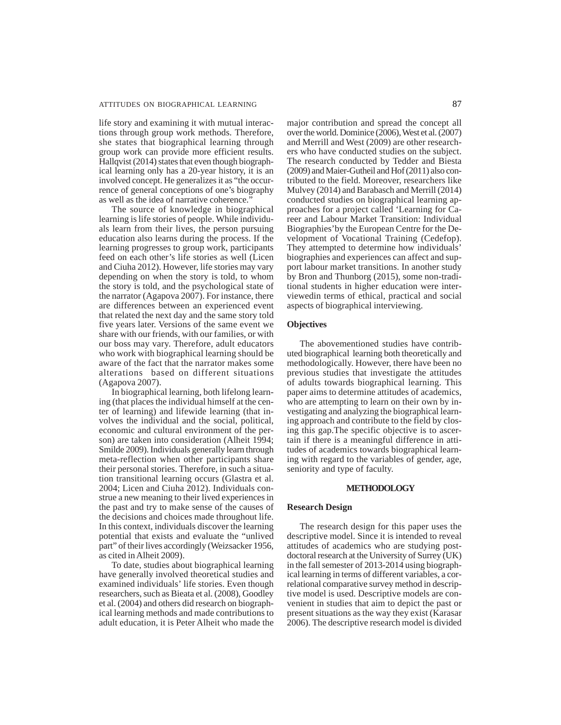#### ATTITUDES ON BIOGRAPHICAL LEARNING 87

life story and examining it with mutual interactions through group work methods. Therefore, she states that biographical learning through group work can provide more efficient results. Hallqvist (2014) states that even though biographical learning only has a 20-year history, it is an involved concept. He generalizes it as "the occurrence of general conceptions of one's biography as well as the idea of narrative coherence."

The source of knowledge in biographical learning is life stories of people. While individuals learn from their lives, the person pursuing education also learns during the process. If the learning progresses to group work, participants feed on each other's life stories as well (Licen and Ciuha 2012). However, life stories may vary depending on when the story is told, to whom the story is told, and the psychological state of the narrator (Agapova 2007). For instance, there are differences between an experienced event that related the next day and the same story told five years later. Versions of the same event we share with our friends, with our families, or with our boss may vary. Therefore, adult educators who work with biographical learning should be aware of the fact that the narrator makes some alterations based on different situations (Agapova 2007).

In biographical learning, both lifelong learning (that places the individual himself at the center of learning) and lifewide learning (that involves the individual and the social, political, economic and cultural environment of the person) are taken into consideration (Alheit 1994; Smilde 2009). Individuals generally learn through meta-reflection when other participants share their personal stories. Therefore, in such a situation transitional learning occurs (Glastra et al. 2004; Licen and Ciuha 2012). Individuals construe a new meaning to their lived experiences in the past and try to make sense of the causes of the decisions and choices made throughout life. In this context, individuals discover the learning potential that exists and evaluate the "unlived part" of their lives accordingly (Weizsacker 1956, as cited in Alheit 2009).

To date, studies about biographical learning have generally involved theoretical studies and examined individuals' life stories. Even though researchers, such as Bieata et al. (2008), Goodley et al. (2004) and others did research on biographical learning methods and made contributions to adult education, it is Peter Alheit who made the

major contribution and spread the concept all over the world. Dominice (2006), West et al. (2007) and Merrill and West (2009) are other researchers who have conducted studies on the subject. The research conducted by Tedder and Biesta (2009) and Maier-Gutheil and Hof (2011) also contributed to the field. Moreover, researchers like Mulvey (2014) and Barabasch and Merrill (2014) conducted studies on biographical learning approaches for a project called 'Learning for Career and Labour Market Transition: Individual Biographies'by the European Centre for the Development of Vocational Training (Cedefop). They attempted to determine how individuals' biographies and experiences can affect and support labour market transitions. In another study by Bron and Thunborg (2015), some non-traditional students in higher education were interviewedin terms of ethical, practical and social aspects of biographical interviewing.

# **Objectives**

The abovementioned studies have contributed biographical learning both theoretically and methodologically. However, there have been no previous studies that investigate the attitudes of adults towards biographical learning. This paper aims to determine attitudes of academics, who are attempting to learn on their own by investigating and analyzing the biographical learning approach and contribute to the field by closing this gap.The specific objective is to ascertain if there is a meaningful difference in attitudes of academics towards biographical learning with regard to the variables of gender, age, seniority and type of faculty.

#### **METHODOLOGY**

#### **Research Design**

The research design for this paper uses the descriptive model. Since it is intended to reveal attitudes of academics who are studying postdoctoral research at the University of Surrey (UK) in the fall semester of 2013-2014 using biographical learning in terms of different variables, a correlational comparative survey method in descriptive model is used. Descriptive models are convenient in studies that aim to depict the past or present situations as the way they exist (Karasar 2006). The descriptive research model is divided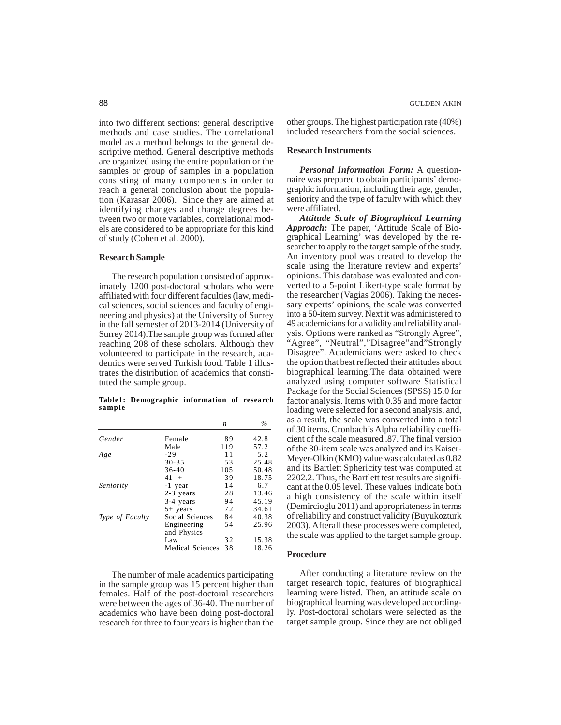into two different sections: general descriptive methods and case studies. The correlational model as a method belongs to the general descriptive method. General descriptive methods are organized using the entire population or the samples or group of samples in a population consisting of many components in order to reach a general conclusion about the population (Karasar 2006). Since they are aimed at identifying changes and change degrees between two or more variables, correlational models are considered to be appropriate for this kind of study (Cohen et al. 2000).

#### **Research Sample**

The research population consisted of approximately 1200 post-doctoral scholars who were affiliated with four different faculties (law, medical sciences, social sciences and faculty of engineering and physics) at the University of Surrey in the fall semester of 2013-2014 (University of Surrey 2014).The sample group was formed after reaching 208 of these scholars. Although they volunteered to participate in the research, academics were served Turkish food. Table 1 illustrates the distribution of academics that constituted the sample group.

**Table1: Demographic information of research sample**

|                 |                            | n   | $\%$  |
|-----------------|----------------------------|-----|-------|
| Gender          | Female                     | 89  | 42.8  |
|                 | Male                       | 119 | 57.2  |
| Age             | $-29$                      | 11  | 5.2   |
|                 | $30 - 35$                  | 53  | 25.48 |
|                 | $36-40$                    | 105 | 50.48 |
|                 | $41 - +$                   | 39  | 18.75 |
| Seniority       | -1 year                    | 14  | 6.7   |
|                 | 2-3 years                  | 28  | 13.46 |
|                 | 3-4 years                  | 94  | 45.19 |
|                 | $5+$ years                 | 72  | 34.61 |
| Type of Faculty | Social Sciences            | 84  | 40.38 |
|                 | Engineering<br>and Physics | 54  | 25.96 |
|                 | Law                        | 32  | 15.38 |
|                 | Medical Sciences           | 38  | 18.26 |

The number of male academics participating in the sample group was 15 percent higher than females. Half of the post-doctoral researchers were between the ages of 36-40. The number of academics who have been doing post-doctoral research for three to four years is higher than the other groups. The highest participation rate (40%) included researchers from the social sciences.

# **Research Instruments**

*Personal Information Form:* A questionnaire was prepared to obtain participants' demographic information, including their age, gender, seniority and the type of faculty with which they were affiliated.

*Attitude Scale of Biographical Learning Approach:* The paper, 'Attitude Scale of Biographical Learning' was developed by the researcher to apply to the target sample of the study. An inventory pool was created to develop the scale using the literature review and experts' opinions. This database was evaluated and converted to a 5-point Likert-type scale format by the researcher (Vagias 2006). Taking the necessary experts' opinions, the scale was converted into a 50-item survey. Next it was administered to 49 academicians for a validity and reliability analysis. Options were ranked as "Strongly Agree", "Agree", "Neutral","Disagree"and"Strongly Disagree". Academicians were asked to check the option that best reflected their attitudes about biographical learning.The data obtained were analyzed using computer software Statistical Package for the Social Sciences (SPSS) 15.0 for factor analysis. Items with 0.35 and more factor loading were selected for a second analysis, and, as a result, the scale was converted into a total of 30 items. Cronbach's Alpha reliability coefficient of the scale measured .87. The final version of the 30-item scale was analyzed and its Kaiser-Meyer-Olkin (KMO) value was calculated as 0.82 and its Bartlett Sphericity test was computed at 2202.2. Thus, the Bartlett test results are significant at the 0.05 level. These values indicate both a high consistency of the scale within itself (Demircioglu 2011) and appropriateness in terms of reliability and construct validity (Buyukozturk 2003). Afterall these processes were completed, the scale was applied to the target sample group.

#### **Procedure**

After conducting a literature review on the target research topic, features of biographical learning were listed. Then, an attitude scale on biographical learning was developed accordingly. Post-doctoral scholars were selected as the target sample group. Since they are not obliged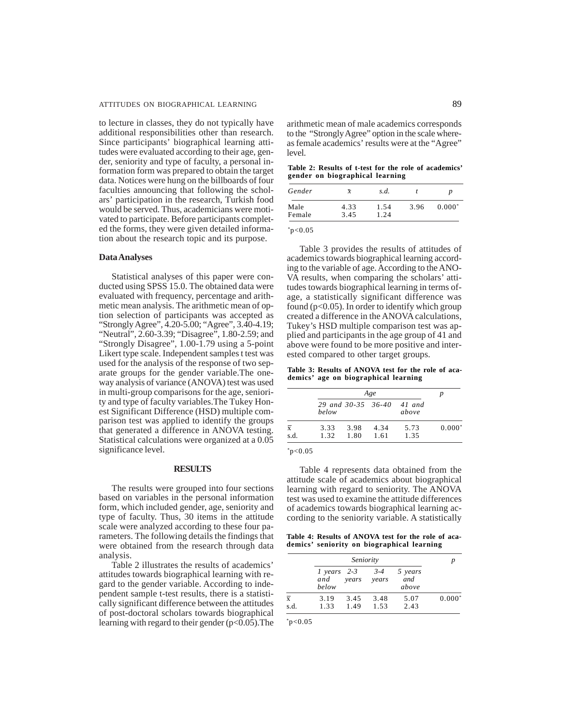to lecture in classes, they do not typically have additional responsibilities other than research. Since participants' biographical learning attitudes were evaluated according to their age, gender, seniority and type of faculty, a personal information form was prepared to obtain the target data. Notices were hung on the billboards of four faculties announcing that following the scholars' participation in the research, Turkish food would be served. Thus, academicians were motivated to participate. Before participants completed the forms, they were given detailed information about the research topic and its purpose.

#### **Data Analyses**

Statistical analyses of this paper were conducted using SPSS 15.0. The obtained data were evaluated with frequency, percentage and arithmetic mean analysis. The arithmetic mean of option selection of participants was accepted as "Strongly Agree", 4.20-5.00; "Agree", 3.40-4.19; "Neutral", 2.60-3.39; "Disagree", 1.80-2.59; and "Strongly Disagree", 1.00-1.79 using a 5-point Likert type scale. Independent samples t test was used for the analysis of the response of two separate groups for the gender variable.The oneway analysis of variance (ANOVA) test was used in multi-group comparisons for the age, seniority and type of faculty variables.The Tukey Honest Significant Difference (HSD) multiple comparison test was applied to identify the groups that generated a difference in ANOVA testing. Statistical calculations were organized at a 0.05 significance level.

## **RESULTS**

The results were grouped into four sections based on variables in the personal information form, which included gender, age, seniority and type of faculty. Thus, 30 items in the attitude scale were analyzed according to these four parameters. The following details the findings that were obtained from the research through data analysis.

Table 2 illustrates the results of academics' attitudes towards biographical learning with regard to the gender variable. According to independent sample t-test results, there is a statistically significant difference between the attitudes of post-doctoral scholars towards biographical learning with regard to their gender (p<0.05).The arithmetic mean of male academics corresponds to the "Strongly Agree" option in the scale whereas female academics' results were at the "Agree" level.

**Table 2: Results of t-test for the role of academics' gender on biographical learning**

| Gender | $\bar{x}$ | s.d. |      | D        |
|--------|-----------|------|------|----------|
| Male   | 4.33      | 1.54 | 3.96 | $0.000*$ |
| Female | 3.45      | 1.24 |      |          |

 $*p<0.05$ 

Table 3 provides the results of attitudes of academics towards biographical learning according to the variable of age. According to the ANO-VA results, when comparing the scholars' attitudes towards biographical learning in terms ofage, a statistically significant difference was found ( $p<0.05$ ). In order to identify which group created a difference in the ANOVA calculations, Tukey's HSD multiple comparison test was applied and participants in the age group of 41 and above were found to be more positive and interested compared to other target groups.

**Table 3: Results of ANOVA test for the role of academics' age on biographical learning**

|                        |                                    | Age          |              |              |          |  |
|------------------------|------------------------------------|--------------|--------------|--------------|----------|--|
|                        | 29 and 30-35 36-40 41 and<br>below |              |              | above        |          |  |
| $\overline{x}$<br>s.d. | 3.33<br>1.32                       | 3.98<br>1.80 | 4.34<br>1.61 | 5.73<br>1.35 | $0.000*$ |  |

 $*_{p<0.05}$ 

Table 4 represents data obtained from the attitude scale of academics about biographical learning with regard to seniority. The ANOVA test was used to examine the attitude differences of academics towards biographical learning according to the seniority variable. A statistically

**Table 4: Results of ANOVA test for the role of academics' seniority on biographical learning**

|                        |                                       | Seniority                    |                         |          |
|------------------------|---------------------------------------|------------------------------|-------------------------|----------|
|                        | $1 \text{ years} 2-3$<br>and<br>below | $3 - 4$<br>years<br>years    | 5 years<br>and<br>above |          |
| $\overline{x}$<br>s.d. | 3.19<br>1.33                          | 3.48<br>3.45<br>1.53<br>1.49 | 5.07<br>2.43            | $0.000*$ |

 $*p<0.05$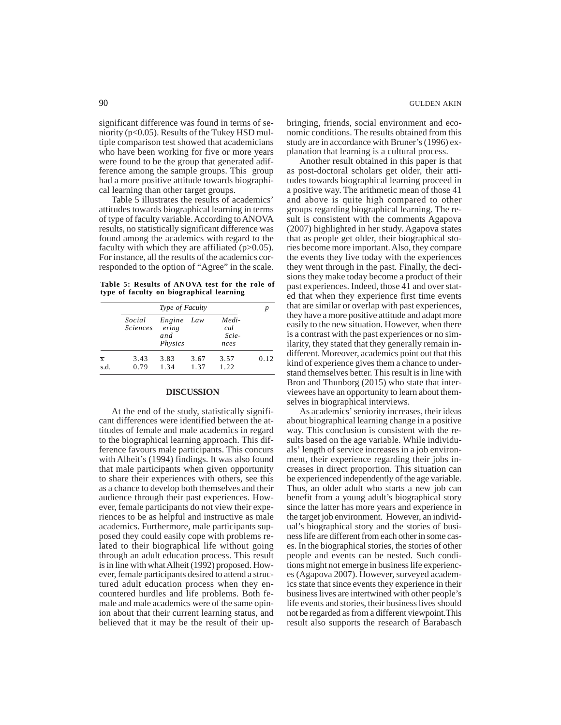significant difference was found in terms of seniority ( $p<0.05$ ). Results of the Tukey HSD multiple comparison test showed that academicians who have been working for five or more years were found to be the group that generated adifference among the sample groups. This group had a more positive attitude towards biographical learning than other target groups.

Table 5 illustrates the results of academics' attitudes towards biographical learning in terms of type of faculty variable. According to ANOVA results, no statistically significant difference was found among the academics with regard to the faculty with which they are affiliated  $(p>0.05)$ . For instance, all the results of the academics corresponded to the option of "Agree" in the scale.

**Table 5: Results of ANOVA test for the role of type of faculty on biographical learning**

|                        |                           | Type of Faculty                   |              |                               |      |
|------------------------|---------------------------|-----------------------------------|--------------|-------------------------------|------|
|                        | Social<br><b>Sciences</b> | Engine<br>ering<br>and<br>Physics | Law          | Medi-<br>cal<br>Scie-<br>nces |      |
| $\overline{x}$<br>s.d. | 3.43<br>0.79              | 3.83<br>1.34                      | 3.67<br>1.37 | 3.57<br>1.22                  | 0.12 |

# **DISCUSSION**

At the end of the study, statistically significant differences were identified between the attitudes of female and male academics in regard to the biographical learning approach. This difference favours male participants. This concurs with Alheit's (1994) findings. It was also found that male participants when given opportunity to share their experiences with others, see this as a chance to develop both themselves and their audience through their past experiences. However, female participants do not view their experiences to be as helpful and instructive as male academics. Furthermore, male participants supposed they could easily cope with problems related to their biographical life without going through an adult education process. This result is in line with what Alheit (1992) proposed. However, female participants desired to attend a structured adult education process when they encountered hurdles and life problems. Both female and male academics were of the same opinion about that their current learning status, and believed that it may be the result of their upbringing, friends, social environment and economic conditions. The results obtained from this study are in accordance with Bruner's (1996) explanation that learning is a cultural process.

Another result obtained in this paper is that as post-doctoral scholars get older, their attitudes towards biographical learning proceed in a positive way. The arithmetic mean of those 41 and above is quite high compared to other groups regarding biographical learning. The result is consistent with the comments Agapova (2007) highlighted in her study. Agapova states that as people get older, their biographical stories become more important. Also, they compare the events they live today with the experiences they went through in the past. Finally, the decisions they make today become a product of their past experiences. Indeed, those 41 and over stated that when they experience first time events that are similar or overlap with past experiences, they have a more positive attitude and adapt more easily to the new situation. However, when there is a contrast with the past experiences or no similarity, they stated that they generally remain indifferent. Moreover, academics point out that this kind of experience gives them a chance to understand themselves better. This result is in line with Bron and Thunborg (2015) who state that interviewees have an opportunity to learn about themselves in biographical interviews.

As academics' seniority increases, their ideas about biographical learning change in a positive way. This conclusion is consistent with the results based on the age variable. While individuals' length of service increases in a job environment, their experience regarding their jobs increases in direct proportion. This situation can be experienced independently of the age variable. Thus, an older adult who starts a new job can benefit from a young adult's biographical story since the latter has more years and experience in the target job environment. However, an individual's biographical story and the stories of business life are different from each other in some cases. In the biographical stories, the stories of other people and events can be nested. Such conditions might not emerge in business life experiences (Agapova 2007). However, surveyed academics state that since events they experience in their business lives are intertwined with other people's life events and stories, their business lives should not be regarded as from a different viewpoint.This result also supports the research of Barabasch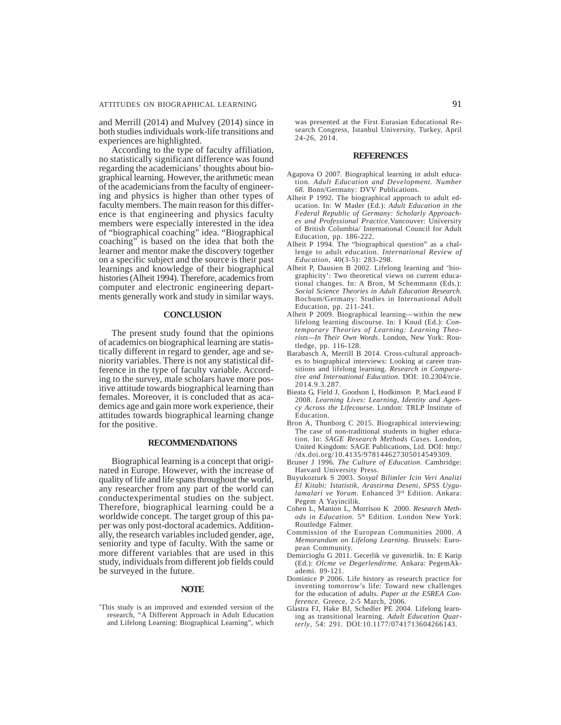and Merrill (2014) and Mulvey (2014) since in both studies individuals work-life transitions and experiences are highlighted.

According to the type of faculty affiliation, no statistically significant difference was found regarding the academicians' thoughts about biographical learning. However, the arithmetic mean of the academicians from the faculty of engineering and physics is higher than other types of faculty members. The main reason for this difference is that engineering and physics faculty members were especially interested in the idea of "biographical coaching" idea. "Biographical coaching" is based on the idea that both the learner and mentor make the discovery together on a specific subject and the source is their past learnings and knowledge of their biographical histories (Alheit 1994). Therefore, academics from computer and electronic engineering departments generally work and study in similar ways.

#### **CONCLUSION**

The present study found that the opinions of academics on biographical learning are statistically different in regard to gender, age and seniority variables. There is not any statistical difference in the type of faculty variable. According to the survey, male scholars have more positive attitude towards biographical learning than females. Moreover, it is concluded that as academics age and gain more work experience, their attitudes towards biographical learning change for the positive.

# **RECOMMENDATIONS**

Biographical learning is a concept that originated in Europe. However, with the increase of quality of life and life spans throughout the world, any researcher from any part of the world can conductexperimental studies on the subject. Therefore, biographical learning could be a worldwide concept. The target group of this paper was only post-doctoral academics. Additionally, the research variables included gender, age, seniority and type of faculty. With the same or more different variables that are used in this study, individuals from different job fields could be surveyed in the future.

### **NOTE**

\* This study is an improved and extended version of the research, "A Different Approach in Adult Education and Lifelong Learning: Biographical Learning", which

was presented at the First Eurasian Educational Research Congress, Istanbul University, Turkey, April 24-26, 2014.

#### **REFERENCES**

- Agapova O 2007. Biographical learning in adult education. *Adult Education and Development. Number 68.* Bonn/Germany: DVV Publications.
- Alheit P 1992. The biographical approach to adult education. In: W Mader (Ed.): *Adult Education in the Federal Republic of Germany: Scholarly Approaches and Professional Practice.*Vancouver: University of British Columbia/ International Council for Adult Education, pp. 186-222.
- Alheit P 1994. The "biographical question" as a challenge to adult education. *International Review of Education*, 40(3-5): 283-298.
- Alheit P, Dausien B 2002. Lifelong learning and 'biographicity': Two theoretical views on current educational changes. In: A Bron, M Schemmann (Eds.): *Social Science Theories in Adult Education Research.* Bochum/Germany: Studies in International Adult Education, pp.  $211-241$ .
- Alheit P 2009. Biographical learning—within the new lifelong learning discourse. In: I Knud (Ed.): *Contemporary Theories of Learning: Learning Theorists—In Their Own Words*. London, New York: Routledge, pp. 116-128.
- Barabasch A, Merrill B 2014. Cross-cultural approaches to biographical interviews: Looking at career transitions and lifelong learning. *Research in Comparative and International Education.* DOI: 10.2304/rcie. 2014.9.3.287.
- Bieata G, Field J, Goodson I, Hodkinson P, MacLeaod F 2008. *Learning Lives: Learning, Identity and Agency Across the Lifecourse.* London: TRLP Institute of Education.
- Bron A, Thunborg C 2015. Biographical interviewing: The case of non-traditional students in higher education. In: *SAGE Research Methods Cases.* London, United Kingdom: SAGE Publications, Ltd. DOI: http:/ /dx.doi.org/10.4135/978144627305014549309.
- Bruner J 1996. *The Culture of Education.* Cambridge: Harvard University Press.
- Buyukozturk S 2003. *Sosyal Bilimler Icin Veri Analizi El Kitabi: Istatistik, Arastirma Deseni, SPSS Uygulamalari ve Yorum.* Enhanced 3rd Edition. Ankara: Pegem A Yayincilik.
- Cohen L, Manion L, Morrison K 2000. *Research Methods in Education.* 5th Edition. London New York: Routledge Falmer.
- Commission of the European Communities 2000. *A Memorandum on Lifelong Learning.* Brussels: European Community.
- Demircioglu G 2011. Gecerlik ve guvenirlik. In: E Karip (Ed.): *Olcme ve Degerlendirme.* Ankara: PegemAkademi. 89-121.
- Dominice P 2006. Life history as research practice for inventing tomorrow's life: Toward new challenges for the education of adults. *Paper at the ESREA Conference.* Greece, 2-5 March, 2006.
- Glastra FJ, Hake BJ, Schedler PE 2004. Lifelong learning as transitional learning. *Adult Education Quarterly*, 54: 291. DOI:10.1177/0741713604266143.